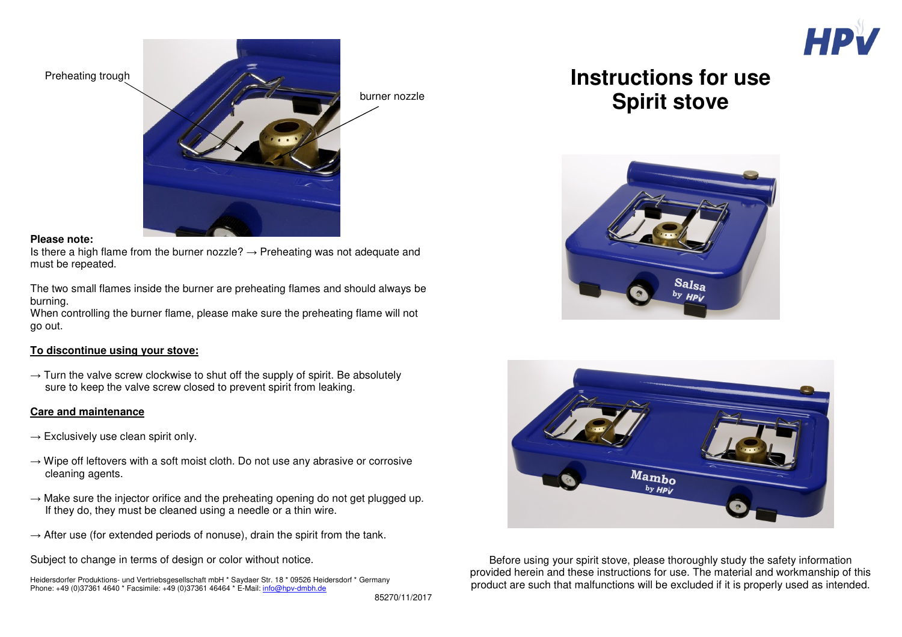

Preheating trough



#### **Please note:**

Is there a high flame from the burner nozzle?  $\rightarrow$  Preheating was not adequate and must be repeated.

The two small flames inside the burner are preheating flames and should always be burning.

 When controlling the burner flame, please make sure the preheating flame will not go out.

# **To discontinue using your stove:**

 $\rightarrow$  Turn the valve screw clockwise to shut off the supply of spirit. Be absolutely sure to keep the valve screw closed to prevent spirit from leaking.

# **Care and maintenance**

- $\rightarrow$  Exclusively use clean spirit only.
- $\rightarrow$  Wipe off leftovers with a soft moist cloth. Do not use any abrasive or corrosive cleaning agents.
- $\rightarrow$  Make sure the injector orifice and the preheating opening do not get plugged up. If they do, they must be cleaned using a needle or a thin wire.
- $\rightarrow$  After use (for extended periods of nonuse), drain the spirit from the tank.

Subject to change in terms of design or color without notice.

Heidersdorfer Produktions- und Vertriebsgesellschaft mbH \* Saydaer Str. 18 \* 09526 Heidersdorf \* Germany Phone: +49 (0)37361 4640 \* Facsimile: +49 (0)37361 46464 \* E-Mail: info@hpv-dmbh.de

# **Instructions for use Spirit stove**





Before using your spirit stove, please thoroughly study the safety information provided herein and these instructions for use. The material and workmanship of this product are such that malfunctions will be excluded if it is properly used as intended.